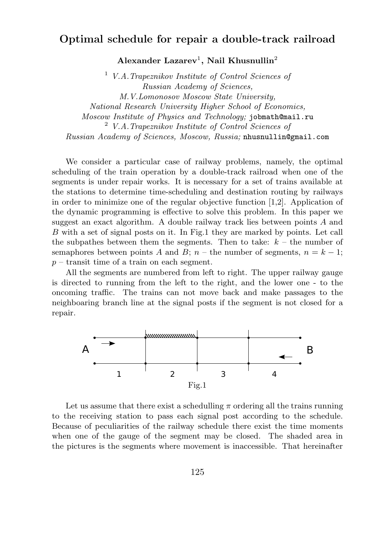## Optimal schedule for repair a double-track railroad

Alexander Lazarev<sup>1</sup>, Nail Khusnullin<sup>2</sup>

 $1$  V.A. Trapeznikov Institute of Control Sciences of Russian Academy of Sciences, M.V.Lomonosov Moscow State University, National Research University Higher School of Economics, Moscow Institute of Physics and Technology; jobmath@mail.ru <sup>2</sup> V.A.Trapeznikov Institute of Control Sciences of Russian Academy of Sciences, Moscow, Russia; nhusnullin@gmail.com

We consider a particular case of railway problems, namely, the optimal scheduling of the train operation by a double-track railroad when one of the segments is under repair works. It is necessary for a set of trains available at the stations to determine time-scheduling and destination routing by railways in order to minimize one of the regular objective function [1,2]. Application of the dynamic programming is effective to solve this problem. In this paper we suggest an exact algorithm. A double railway track lies between points A and B with a set of signal posts on it. In Fig.1 they are marked by points. Let call the subpathes between them the segments. Then to take:  $k -$  the number of semaphores between points A and B;  $n -$  the number of segments,  $n = k - 1$ ;  $p$  – transit time of a train on each segment.

All the segments are numbered from left to right. The upper railway gauge is directed to running from the left to the right, and the lower one - to the oncoming traffic. The trains can not move back and make passages to the neighboaring branch line at the signal posts if the segment is not closed for a repair.



Let us assume that there exist a schedulling  $\pi$  ordering all the trains running to the receiving station to pass each signal post according to the schedule. Because of peculiarities of the railway schedule there exist the time moments when one of the gauge of the segment may be closed. The shaded area in the pictures is the segments where movement is inaccessible. That hereinafter